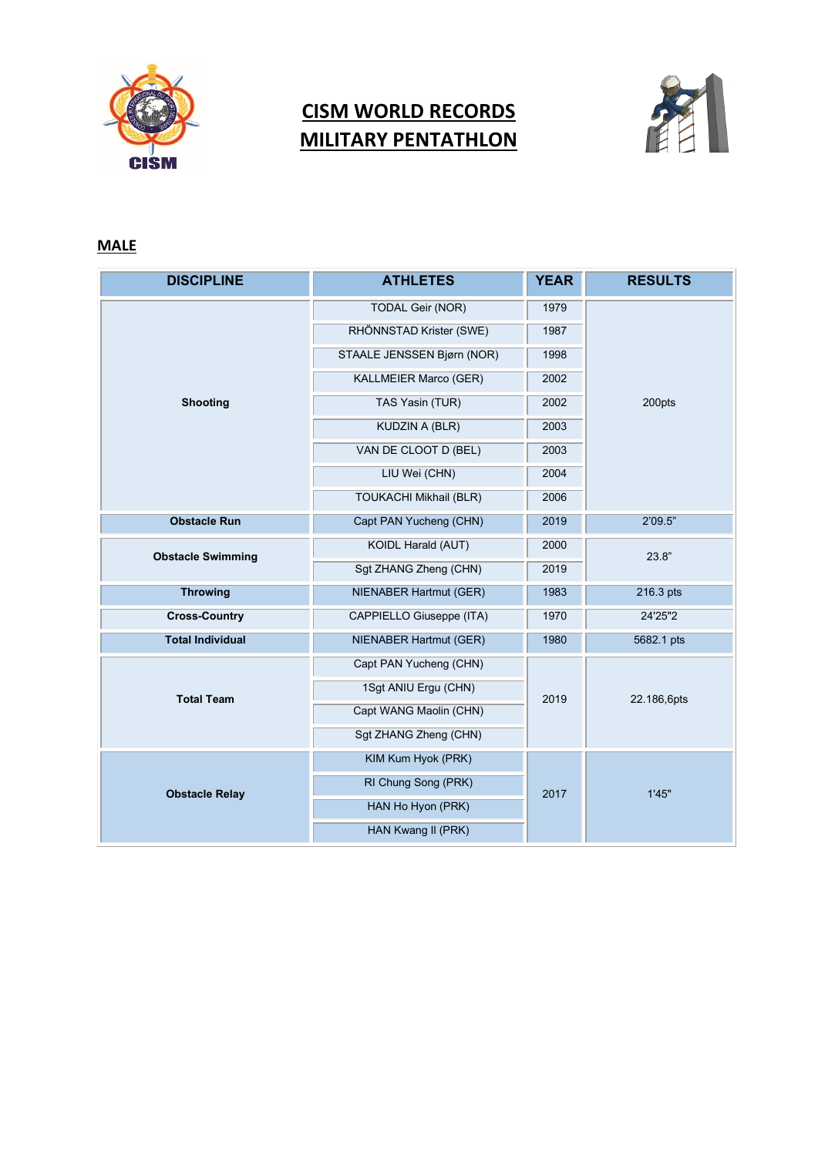

## **CISM WORLD RECORDS MILITARY PENTATHLON**



## **MALE**

| <b>DISCIPLINE</b>        | <b>ATHLETES</b>               | <b>YEAR</b> | <b>RESULTS</b> |
|--------------------------|-------------------------------|-------------|----------------|
| <b>Shooting</b>          | <b>TODAL Geir (NOR)</b>       | 1979        | 200pts         |
|                          | RHÖNNSTAD Krister (SWE)       | 1987        |                |
|                          | STAALE JENSSEN Bjørn (NOR)    | 1998        |                |
|                          | KALLMEIER Marco (GER)         | 2002        |                |
|                          | TAS Yasin (TUR)               | 2002        |                |
|                          | <b>KUDZIN A (BLR)</b>         | 2003        |                |
|                          | VAN DE CLOOT D (BEL)          | 2003        |                |
|                          | LIU Wei (CHN)                 | 2004        |                |
|                          | <b>TOUKACHI Mikhail (BLR)</b> | 2006        |                |
| <b>Obstacle Run</b>      | Capt PAN Yucheng (CHN)        | 2019        | 2'09.5"        |
| <b>Obstacle Swimming</b> | KOIDL Harald (AUT)            | 2000        | 23.8"          |
|                          | Sgt ZHANG Zheng (CHN)         | 2019        |                |
| <b>Throwing</b>          | NIENABER Hartmut (GER)        | 1983        | 216.3 pts      |
| <b>Cross-Country</b>     | CAPPIELLO Giuseppe (ITA)      | 1970        | 24'25"2        |
| <b>Total Individual</b>  | NIENABER Hartmut (GER)        | 1980        | 5682.1 pts     |
| <b>Total Team</b>        | Capt PAN Yucheng (CHN)        | 2019        | 22.186,6pts    |
|                          | 1Sgt ANIU Ergu (CHN)          |             |                |
|                          | Capt WANG Maolin (CHN)        |             |                |
|                          | Sgt ZHANG Zheng (CHN)         |             |                |
| <b>Obstacle Relay</b>    | KIM Kum Hyok (PRK)            | 2017        | 1'45"          |
|                          | RI Chung Song (PRK)           |             |                |
|                          | HAN Ho Hyon (PRK)             |             |                |
|                          | HAN Kwang II (PRK)            |             |                |